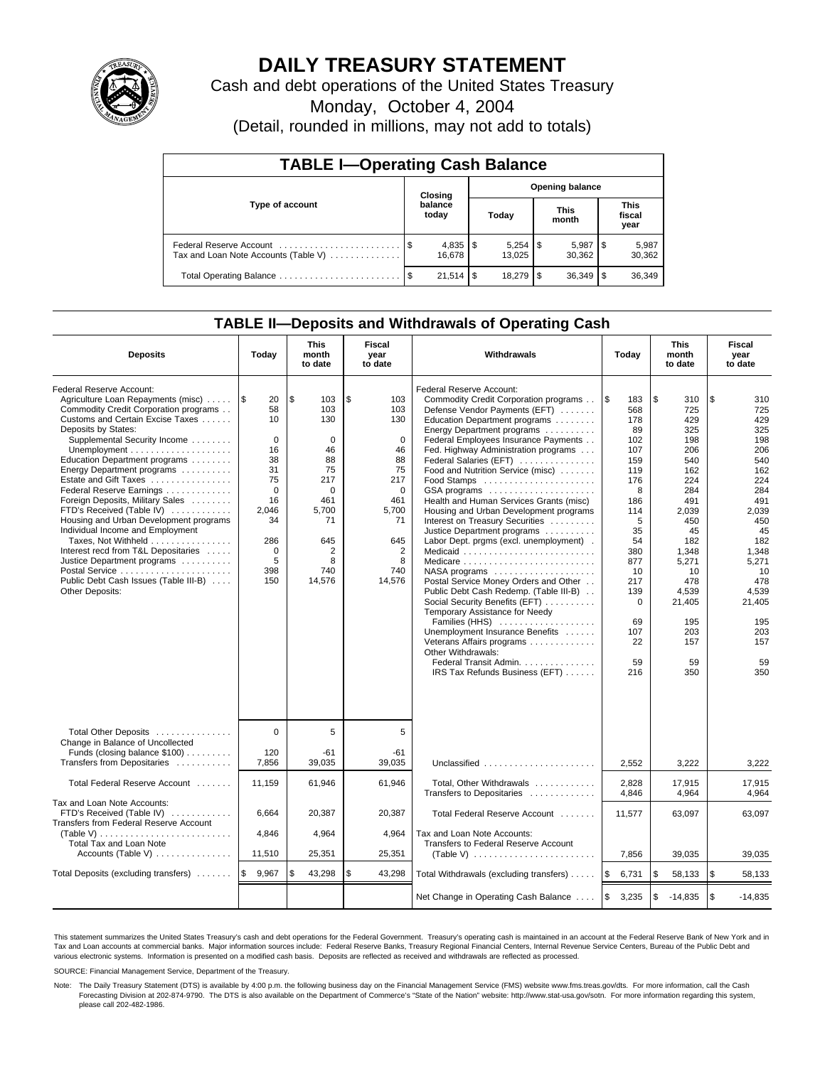

# **DAILY TREASURY STATEMENT**

Cash and debt operations of the United States Treasury

Monday, October 4, 2004

(Detail, rounded in millions, may not add to totals)

| <b>TABLE I-Operating Cash Balance</b>                           |                  |            |                        |           |  |                      |     |                               |  |
|-----------------------------------------------------------------|------------------|------------|------------------------|-----------|--|----------------------|-----|-------------------------------|--|
|                                                                 |                  | Closing    | <b>Opening balance</b> |           |  |                      |     |                               |  |
| Type of account                                                 | balance<br>today |            |                        | Today     |  | <b>This</b><br>month |     | <b>This</b><br>fiscal<br>year |  |
| Federal Reserve Account<br>Tax and Loan Note Accounts (Table V) |                  | 16.678     |                        | 13.025    |  | 5,987<br>30.362      |     | 5,987<br>30,362               |  |
| Total Operating Balance                                         |                  | $21.514$ S |                        | 18.279 \$ |  | 36.349               | 1\$ | 36,349                        |  |

### **TABLE II—Deposits and Withdrawals of Operating Cash**

| <b>Deposits</b>                                                                                                                                                                                                                                                                                                                                                                                                                                                                                                                                                                                                                | Today                                                                                                                                 | <b>This</b><br>month<br>to date                                                                                                  | <b>Fiscal</b><br>year<br>to date                                                                                                 | Withdrawals                                                                                                                                                                                                                                                                                                                                                                                                                                                                                                                                                                                                                                                                                                                                                                                                                                                                                                                                                  | Today                                                                                                                                                                                  | <b>This</b><br>month<br>to date                                                                                                                                                                  | <b>Fiscal</b><br>year<br>to date                                                                                                                                                                 |
|--------------------------------------------------------------------------------------------------------------------------------------------------------------------------------------------------------------------------------------------------------------------------------------------------------------------------------------------------------------------------------------------------------------------------------------------------------------------------------------------------------------------------------------------------------------------------------------------------------------------------------|---------------------------------------------------------------------------------------------------------------------------------------|----------------------------------------------------------------------------------------------------------------------------------|----------------------------------------------------------------------------------------------------------------------------------|--------------------------------------------------------------------------------------------------------------------------------------------------------------------------------------------------------------------------------------------------------------------------------------------------------------------------------------------------------------------------------------------------------------------------------------------------------------------------------------------------------------------------------------------------------------------------------------------------------------------------------------------------------------------------------------------------------------------------------------------------------------------------------------------------------------------------------------------------------------------------------------------------------------------------------------------------------------|----------------------------------------------------------------------------------------------------------------------------------------------------------------------------------------|--------------------------------------------------------------------------------------------------------------------------------------------------------------------------------------------------|--------------------------------------------------------------------------------------------------------------------------------------------------------------------------------------------------|
| Federal Reserve Account:<br>Agriculture Loan Repayments (misc)<br>Commodity Credit Corporation programs<br>Customs and Certain Excise Taxes<br>Deposits by States:<br>Supplemental Security Income<br>Education Department programs<br>Energy Department programs<br>Estate and Gift Taxes<br>Federal Reserve Earnings<br>Foreign Deposits, Military Sales<br>FTD's Received (Table IV)<br>Housing and Urban Development programs<br>Individual Income and Employment<br>Taxes, Not Withheld<br>Interest recd from T&L Depositaries<br>Justice Department programs<br>Public Debt Cash Issues (Table III-B)<br>Other Deposits: | <b>S</b><br>20<br>58<br>10<br>$\Omega$<br>16<br>38<br>31<br>75<br>$\Omega$<br>16<br>2.046<br>34<br>286<br>$\Omega$<br>5<br>398<br>150 | \$<br>103<br>103<br>130<br>$\Omega$<br>46<br>88<br>75<br>217<br>$\Omega$<br>461<br>5,700<br>71<br>645<br>2<br>8<br>740<br>14,576 | \$<br>103<br>103<br>130<br>$\Omega$<br>46<br>88<br>75<br>217<br>$\Omega$<br>461<br>5.700<br>71<br>645<br>2<br>8<br>740<br>14,576 | Federal Reserve Account:<br>Commodity Credit Corporation programs<br>Defense Vendor Payments (EFT)<br>Education Department programs<br>Energy Department programs<br>Federal Employees Insurance Payments<br>Fed. Highway Administration programs<br>Federal Salaries (EFT)<br>Food and Nutrition Service (misc)<br>Food Stamps<br>GSA programs<br>Health and Human Services Grants (misc)<br>Housing and Urban Development programs<br>Interest on Treasury Securities<br>Justice Department programs<br>Labor Dept. prgms (excl. unemployment).<br>Medicaid<br>Medicare<br>$NASA$ programs $\ldots \ldots \ldots \ldots \ldots$<br>Postal Service Money Orders and Other<br>Public Debt Cash Redemp. (Table III-B)<br>Social Security Benefits (EFT)<br>Temporary Assistance for Needy<br>Families (HHS)<br>Unemployment Insurance Benefits<br>Veterans Affairs programs<br>Other Withdrawals:<br>Federal Transit Admin.<br>IRS Tax Refunds Business (EFT) | l\$<br>183<br>568<br>178<br>89<br>102<br>107<br>159<br>119<br>176<br>8<br>186<br>114<br>5<br>35<br>54<br>380<br>877<br>10<br>217<br>139<br>$\mathbf 0$<br>69<br>107<br>22<br>59<br>216 | \$<br>310<br>725<br>429<br>325<br>198<br>206<br>540<br>162<br>224<br>284<br>491<br>2,039<br>450<br>45<br>182<br>1,348<br>5,271<br>10<br>478<br>4,539<br>21,405<br>195<br>203<br>157<br>59<br>350 | \$<br>310<br>725<br>429<br>325<br>198<br>206<br>540<br>162<br>224<br>284<br>491<br>2,039<br>450<br>45<br>182<br>1,348<br>5,271<br>10<br>478<br>4,539<br>21,405<br>195<br>203<br>157<br>59<br>350 |
| Total Other Deposits<br>Change in Balance of Uncollected<br>Funds (closing balance \$100)<br>Transfers from Depositaries                                                                                                                                                                                                                                                                                                                                                                                                                                                                                                       | $\Omega$<br>120<br>7,856                                                                                                              | 5<br>$-61$<br>39,035                                                                                                             | 5<br>-61<br>39,035                                                                                                               | Unclassified                                                                                                                                                                                                                                                                                                                                                                                                                                                                                                                                                                                                                                                                                                                                                                                                                                                                                                                                                 | 2,552                                                                                                                                                                                  | 3,222                                                                                                                                                                                            | 3,222                                                                                                                                                                                            |
| Total Federal Reserve Account                                                                                                                                                                                                                                                                                                                                                                                                                                                                                                                                                                                                  | 11,159                                                                                                                                | 61,946                                                                                                                           | 61,946                                                                                                                           | Total, Other Withdrawals                                                                                                                                                                                                                                                                                                                                                                                                                                                                                                                                                                                                                                                                                                                                                                                                                                                                                                                                     | 2,828                                                                                                                                                                                  | 17,915                                                                                                                                                                                           | 17,915                                                                                                                                                                                           |
| Tax and Loan Note Accounts:<br>FTD's Received (Table IV)<br>Transfers from Federal Reserve Account<br>Total Tax and Loan Note<br>Accounts (Table V)                                                                                                                                                                                                                                                                                                                                                                                                                                                                            | 6,664<br>4,846<br>11,510                                                                                                              | 20,387<br>4,964<br>25,351                                                                                                        | 20,387<br>4,964<br>25,351                                                                                                        | Transfers to Depositaries<br>Total Federal Reserve Account<br>Tax and Loan Note Accounts:<br>Transfers to Federal Reserve Account                                                                                                                                                                                                                                                                                                                                                                                                                                                                                                                                                                                                                                                                                                                                                                                                                            | 4,846<br>11,577<br>7,856                                                                                                                                                               | 4,964<br>63,097<br>39,035                                                                                                                                                                        | 4,964<br>63,097<br>39,035                                                                                                                                                                        |
| Total Deposits (excluding transfers)                                                                                                                                                                                                                                                                                                                                                                                                                                                                                                                                                                                           | ۱\$<br>9,967                                                                                                                          | \$<br>43,298                                                                                                                     | \$<br>43,298                                                                                                                     | Total Withdrawals (excluding transfers)                                                                                                                                                                                                                                                                                                                                                                                                                                                                                                                                                                                                                                                                                                                                                                                                                                                                                                                      | 6,731<br>5                                                                                                                                                                             | \$<br>58,133                                                                                                                                                                                     | \$<br>58,133                                                                                                                                                                                     |
|                                                                                                                                                                                                                                                                                                                                                                                                                                                                                                                                                                                                                                |                                                                                                                                       |                                                                                                                                  |                                                                                                                                  | Net Change in Operating Cash Balance                                                                                                                                                                                                                                                                                                                                                                                                                                                                                                                                                                                                                                                                                                                                                                                                                                                                                                                         | l \$<br>3,235                                                                                                                                                                          | \$<br>$-14,835$                                                                                                                                                                                  | l \$<br>$-14,835$                                                                                                                                                                                |

This statement summarizes the United States Treasury's cash and debt operations for the Federal Government. Treasury's operating cash is maintained in an account at the Federal Reserve Bank of New York and in Tax and Loan accounts at commercial banks. Major information sources include: Federal Reserve Banks, Treasury Regional Financial Centers, Internal Revenue Service Centers, Bureau of the Public Debt and<br>various electronic s

SOURCE: Financial Management Service, Department of the Treasury.

Note: The Daily Treasury Statement (DTS) is available by 4:00 p.m. the following business day on the Financial Management Service (FMS) website www.fms.treas.gov/dts. For more information, call the Cash Forecasting Division at 202-874-9790. The DTS is also available on the Department of Commerce's "State of the Nation" website: http://www.stat-usa.gov/sotn. For more information regarding this system, please call 202-482-1986.